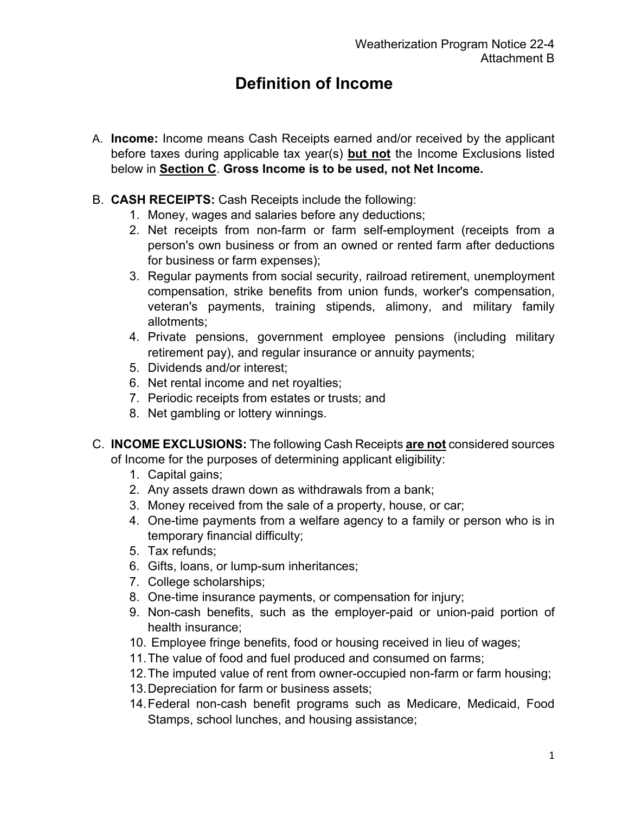## **Definition of Income**

- A. **Income:** Income means Cash Receipts earned and/or received by the applicant before taxes during applicable tax year(s) **but not** the Income Exclusions listed below in **Section C**. **Gross Income is to be used, not Net Income.**
- B. **CASH RECEIPTS:** Cash Receipts include the following:
	- 1. Money, wages and salaries before any deductions;
	- 2. Net receipts from non-farm or farm self-employment (receipts from a person's own business or from an owned or rented farm after deductions for business or farm expenses);
	- 3. Regular payments from social security, railroad retirement, unemployment compensation, strike benefits from union funds, worker's compensation, veteran's payments, training stipends, alimony, and military family allotments;
	- 4. Private pensions, government employee pensions (including military retirement pay), and regular insurance or annuity payments;
	- 5. Dividends and/or interest;
	- 6. Net rental income and net royalties;
	- 7. Periodic receipts from estates or trusts; and
	- 8. Net gambling or lottery winnings.
- C. **INCOME EXCLUSIONS:** The following Cash Receipts **are not** considered sources of Income for the purposes of determining applicant eligibility:
	- 1. Capital gains;
	- 2. Any assets drawn down as withdrawals from a bank;
	- 3. Money received from the sale of a property, house, or car;
	- 4. One-time payments from a welfare agency to a family or person who is in temporary financial difficulty;
	- 5. Tax refunds;
	- 6. Gifts, loans, or lump-sum inheritances;
	- 7. College scholarships;
	- 8. One-time insurance payments, or compensation for injury;
	- 9. Non-cash benefits, such as the employer-paid or union-paid portion of health insurance;
	- 10. Employee fringe benefits, food or housing received in lieu of wages;
	- 11.The value of food and fuel produced and consumed on farms;
	- 12.The imputed value of rent from owner-occupied non-farm or farm housing;
	- 13.Depreciation for farm or business assets;
	- 14.Federal non-cash benefit programs such as Medicare, Medicaid, Food Stamps, school lunches, and housing assistance;